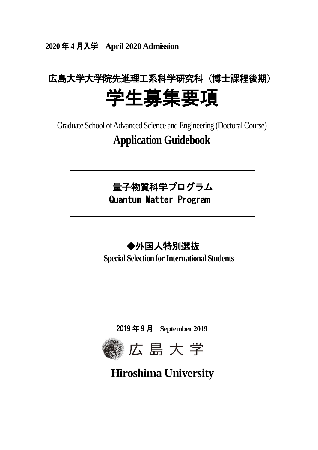**2020** 年 **4** 月入学 **April 2020Admission**

# 広島大学大学院先進理工系科学研究科(博士課程後期) 学生募集要項

Graduate School of Advanced Science and Engineering (Doctoral Course) **Application Guidebook**



Quantum Matter Program

## ◆外国人特別選抜

**Special Selection for International Students**

2019 年 9 月 **September 2019**



**Hiroshima University**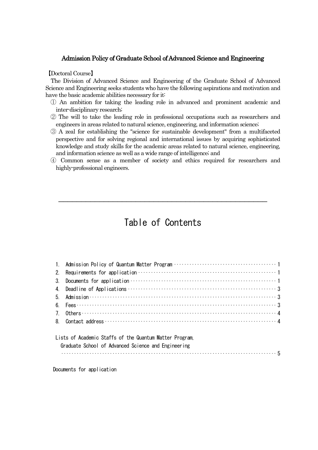#### Admission Policy of Graduate School of Advanced Science and Engineering

#### 【Doctoral Course】

The Division of Advanced Science and Engineering of the Graduate School of Advanced Science and Engineering seeks students who have the following aspirations and motivation and have the basic academic abilities necessary for it:

- ① An ambition for taking the leading role in advanced and prominent academic and inter-disciplinary research;
- ② The will to take the leading role in professional occupations such as researchers and engineers in areas related to natural science, engineering, and information science;
- ③ A zeal for establishing the "science for sustainable development" from a multifaceted perspective and for solving regional and international issues by acquiring sophisticated knowledge and study skills for the academic areas related to natural science, engineering, and information science as well as a wide range of intelligence; and
- ④ Common sense as a member of society and ethics required for researchers and highly-professional engineers.

### Table of Contents

\_\_\_\_\_\_\_\_\_\_\_\_\_\_\_\_\_\_\_\_\_\_\_\_\_\_\_\_\_\_\_\_\_\_\_\_\_\_\_\_\_\_\_\_\_\_

| 7. Others $\cdots$ and $\cdots$ and $\cdots$ are $\cdots$ and $\cdots$ are $\cdots$ and $\cdots$ are $\cdots$ and $\cdots$ are $\cdots$ and $\cdots$ are $\cdots$ are $\cdots$ are $\cdots$ are $\cdots$ are $\cdots$ are $\cdots$ are $\cdots$ are $\cdots$ are $\cdots$ are $\cdots$ are |
|--------------------------------------------------------------------------------------------------------------------------------------------------------------------------------------------------------------------------------------------------------------------------------------------|
|                                                                                                                                                                                                                                                                                            |
|                                                                                                                                                                                                                                                                                            |

#### Lists of Academic Staffs of the Quantum Matter Program,

| Graduate School of Advanced Science and Engineering |  |
|-----------------------------------------------------|--|
|                                                     |  |

Documents for application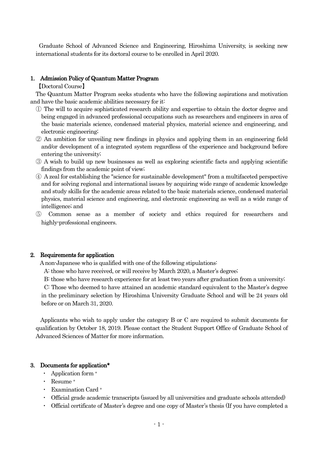Graduate School of Advanced Science and Engineering, Hiroshima University, is seeking new international students for its doctoral course to be enrolled in April 2020.

#### 1. Admission Policy of Quantum Matter Program

【Doctoral Course】

The Quantum Matter Program seeks students who have the following aspirations and motivation and have the basic academic abilities necessary for it:

- ① The will to acquire sophisticated research ability and expertise to obtain the doctor degree and being engaged in advanced professional occupations such as researchers and engineers in area of the basic materials science, condensed material physics, material science and engineering, and electronic engineering;
- ② An ambition for unveiling new findings in physics and applying them in an engineering field and/or development of a integrated system regardless of the experience and background before entering the university;
- ③ A wish to build up new businesses as well as exploring scientific facts and applying scientific findings from the academic point of view;
- ④ A zeal for establishing the "science for sustainable development" from a multifaceted perspective and for solving regional and international issues by acquiring wide range of academic knowledge and study skills for the academic areas related to the basic materials science, condensed material physics, material science and engineering, and electronic engineering as well as a wide range of intelligence; and
- ⑤ Common sense as a member of society and ethics required for researchers and highly-professional engineers.

#### 2. Requirements for application

A non-Japanese who is qualified with one of the following stipulations:

A: those who have received, or will receive by March 2020, a Master's degree;

B: those who have research experience for at least two years after graduation from a university;

C: Those who deemed to have attained an academic standard equivalent to the Master's degree in the preliminary selection by Hiroshima University Graduate School and will be 24 years old before or on March 31, 2020.

Applicants who wish to apply under the category B or C are required to submit documents for qualification by October 18, 2019. Please contact the Student Support Office of Graduate School of Advanced Sciences of Matter for more information.

#### 3. Documents for application\*

- ・ Application form <sup>+</sup>
- ・ Resume <sup>+</sup>
- ・ Examination Card <sup>+</sup>
- ・ Official grade academic transcripts (issued by all universities and graduate schools attended)
- ・ Official certificate of Master's degree and one copy of Master's thesis (If you have completed a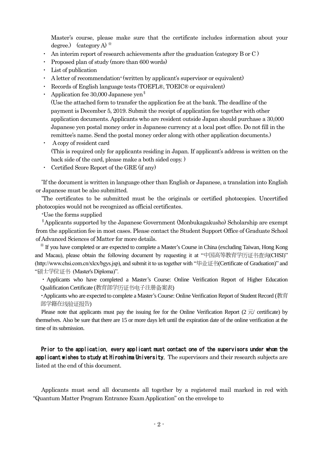Master's course, please make sure that the certificate includes information about your degree.) (category A)  $*$ 

- An interim report of research achievements after the graduation (category B or C )
- ・ Proposed plan of study (more than 600 words)
- ・ List of publication
- A letter of recommendation<sup>+</sup> (written by applicant's supervisor or equivalent)
- Records of English language tests (TOEFL®, TOEIC® or equivalent)
- Application fee 30,000 Japanese yen<sup>§</sup>

(Use the attached form to transfer the application fee at the bank. The deadline of the payment is December 5, 2019. Submit the receipt of application fee together with other application documents. Applicants who are resident outside Japan should purchase a 30,000 Japanese yen postal money order in Japanese currency at a local post office. Do not fill in the remittee's name. Send the postal money order along with other application documents.)

- ・ A copy of resident card (This is required only for applicants residing in Japan. If applicant's address is written on the back side of the card, please make a both sided copy. )
- Certified Score Report of the GRE (if any)

\*If the document is written in language other than English or Japanese, a translation into English or Japanese must be also submitted.

\*The certificates to be submitted must be the originals or certified photocopies. Uncertified photocopies would not be recognized as official certificates.

<sup>+</sup>Use the forms supplied

§Applicants supported by the Japanese Government (Monbukagakusho) Scholarship are exempt from the application fee in most cases. Please contact the Student Support Office of Graduate School of Advanced Sciences of Matter for more details.

※ If you have completed or are expected to complete a Master's Course in China (excluding Taiwan, Hong Kong and Macau), please obtain the following document by requesting it at "中国高等教育学历证书查询(CHSI)" (http://www.chsi.com.cn/xlcx/bgys.jsp), and submit it to us together with "毕业证书(Certificate of Graduation)" and "硕士学位证书 (Master's Diploma)".

・Applicants who have completed a Master's Course: Online Verification Report of Higher Education Qualification Certificate (教育部学历证书电子注册备案表)

・Applicants who are expected to complete a Master's Course: Online Verification Report of Student Record (教育 部学籍在线验证报告)

Please note that applicants must pay the issuing fee for the Online Verification Report ( $2 \overrightarrow{\pi}$ ) certificate) by themselves. Also be sure that there are 15 or more days left until the expiration date of the online verification at the time of its submission.

Prior to the application, every applicant must contact one of the supervisors under whom the applicant wishes to study at Hiroshima University. The supervisors and their research subjects are listed at the end of this document.

Applicants must send all documents all together by a registered mail marked in red with "Quantum Matter Program Entrance Exam Application" on the envelope to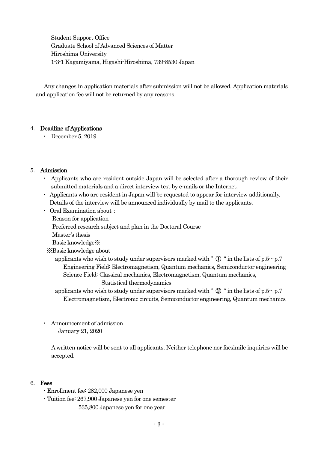Student Support Office Graduate School of Advanced Sciences of Matter Hiroshima University 1-3-1 Kagamiyama, Higashi-Hiroshima, 739-8530 Japan

Any changes in application materials after submission will not be allowed. Application materials and application fee will not be returned by any reasons.

#### 4. Deadline of Applications

• December 5, 2019

#### 5. Admission

- ・ Applicants who are resident outside Japan will be selected after a thorough review of their submitted materials and a direct interview test by e-mails or the Internet.
- ・ Applicants who are resident in Japan will be requested to appear for interview additionally. Details of the interview will be announced individually by mail to the applicants.
- ・ Oral Examination about:
	- Reason for application
	- Preferred research subject and plan in the Doctoral Course
	- Master's thesis
	- Basic knowledge※
	- ※Basic knowledge about
		- applicants who wish to study under supervisors marked with "  $\mathbb{D}$  " in the lists of p.5~p.7 Engineering Field: Electromagnetism, Quantum mechanics, Semiconductor engineering Science Field: Classical mechanics, Electromagnetism, Quantum mechanics, Statistical thermodynamics
		- applicants who wish to study under supervisors marked with "  $\mathcal{Q}$  " in the lists of p.5~p.7 Electromagnetism, Electronic circuits, Semiconductor engineering, Quantum mechanics
- Announcement of admission January 21, 2020

A written notice will be sent to all applicants. Neither telephone nor facsimile inquiries will be accepted.

#### 6. Fees

- ・Enrollment fee: 282,000 Japanese yen
- ・Tuition fee: 267,900 Japanese yen for one semester
	- 535,800 Japanese yen for one year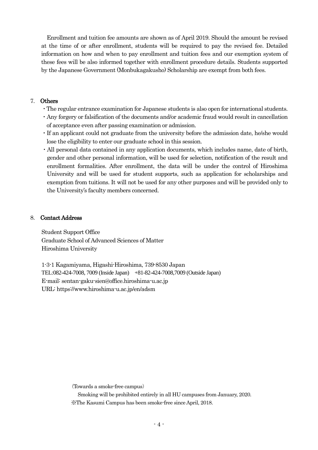Enrollment and tuition fee amounts are shown as of April 2019. Should the amount be revised at the time of or after enrollment, students will be required to pay the revised fee. Detailed information on how and when to pay enrollment and tuition fees and our exemption system of these fees will be also informed together with enrollment procedure details. Students supported by the Japanese Government (Monbukagakusho) Scholarship are exempt from both fees.

#### 7. Others

- ・The regular entrance examination for Japanese students is also open for international students.
- ・Any forgery or falsification of the documents and/or academic fraud would result in cancellation of acceptance even after passing examination or admission.
- ・If an applicant could not graduate from the university before the admission date, he/she would lose the eligibility to enter our graduate school in this session.
- ・All personal data contained in any application documents, which includes name, date of birth, gender and other personal information, will be used for selection, notification of the result and enrollment formalities. After enrollment, the data will be under the control of Hiroshima University and will be used for student supports, such as application for scholarships and exemption from tuitions. It will not be used for any other purposes and will be provided only to the University's faculty members concerned.

#### 8. Contact Address

Student Support Office Graduate School of Advanced Sciences of Matter Hiroshima University

1-3-1 Kagamiyama, Higashi-Hiroshima, 739-8530 Japan TEL:082-424-7008, 7009 (Inside Japan) +81-82-424-7008,7009 (Outside Japan) E-mail: sentan-gaku-sien@office.hiroshima-u.ac.jp URL: https://www.hiroshima-u.ac.jp/en/adsm

(Towards a smoke-free campus)

Smoking will be prohibited entirely in all HU campuses from January, 2020. ※The Kasumi Campus has been smoke-free since April, 2018.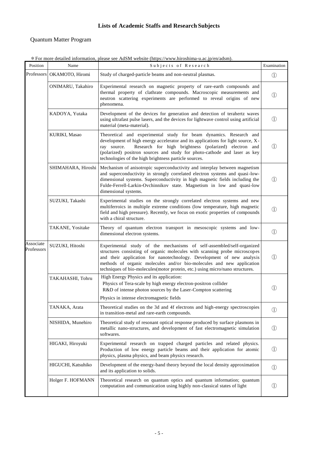#### **Lists of Academic Staffs and Research Subjects**

#### Quantum Matter Program

| Position                | Name                         | Subjects of Research                                                                                                                                                                                                                                                                                                                                                                   | Examination   |
|-------------------------|------------------------------|----------------------------------------------------------------------------------------------------------------------------------------------------------------------------------------------------------------------------------------------------------------------------------------------------------------------------------------------------------------------------------------|---------------|
|                         | Professors   OKAMOTO, Hiromi | Study of charged-particle beams and non-neutral plasmas.                                                                                                                                                                                                                                                                                                                               |               |
|                         | ONIMARU, Takahiro            | Experimental research on magnetic property of rare-earth compounds and<br>thermal property of clathrate compounds. Macroscopic measurements and<br>neutron scattering experiments are performed to reveal origins of new<br>phenomena.                                                                                                                                                 | $\mathbb{O}$  |
|                         | KADOYA, Yutaka               | Development of the devices for generation and detection of terahertz waves<br>using ultrafast pulse lasers, and the devices for lightwave control using artificial<br>material (meta-material).                                                                                                                                                                                        | $\mathcal{D}$ |
|                         | KURIKI, Masao                | Theoretical and experimental study for beam dynamics. Research and<br>development of high energy accelerator and its applications for light source, X-<br>Research for high brightness (polarized) electron and<br>ray source.<br>(polarized) positron sources and study for photo-cathode and laser as key<br>technologies of the high brightness particle sources.                   | (1)           |
|                         | SHIMAHARA, Hiroshi           | Mechanism of anisotropic superconductivity and interplay between magnetism<br>and superconductivity in strongly correlated electron systems and quasi-low-<br>dimensional systems. Superconductivity in high magnetic fields including the<br>Fulde-Ferrell-Larkin-Ovchinnikov state. Magnetism in low and quasi-low<br>dimensional systems.                                           |               |
|                         | SUZUKI, Takashi              | Experimental studies on the strongly correlated electron systems and new<br>multiferroics in multiple extreme conditions (low temperature, high magnetic<br>field and high pressure). Recently, we focus on exotic properties of compounds<br>with a chiral structure.                                                                                                                 | $\circled{1}$ |
|                         | TAKANE, Yositake             | Theory of quantum electron transport in mesoscopic systems and low-<br>dimensional electron systems.                                                                                                                                                                                                                                                                                   | $\mathbb{O}$  |
| Associate<br>Professors | SUZUKI, Hitoshi              | Experimental study of the mechanisms of self-assembled/self-organized<br>structures consisting of organic molecules with scanning probe microscopes<br>and their application for nanotechnology. Development of new analysis<br>methods of organic molecules and/or bio-molecules and new application<br>techniques of bio-molecules(motor protein, etc.) using micro/nano structures. |               |
|                         | TAKAHASHI, Tohru             | High Energy Physics and its application:<br>Physics of Tera-scale by high energy electron-positron collider<br>R&D of intense photon sources by the Laser-Compton scattering                                                                                                                                                                                                           | (1)           |
|                         | TANAKA, Arata                | Physics in intense electromagnetic fields<br>Theoretical studies on the 3d and 4f electrons and high-energy spectroscopies<br>in transition-metal and rare-earth compounds.                                                                                                                                                                                                            | $\bigcirc$    |
|                         | NISHIDA, Munehiro            | Theoretical study of resonant optical response produced by surface plasmons in<br>metallic nano structures, and development of feet electromegnetic simulation                                                                                                                                                                                                                         | ∩             |

\*For more detailed information, please see AdSM website (https://www.hiroshima-u.ac.jp/en/adsm).

in transition-metal and rare-earth compounds. metallic nano-structures, and development of fast electromagnetic simulation softwares. ① HIGAKI, Hiroyuki Experimental research on trapped charged particles and related physics. Production of low energy particle beams and their application for atomic physics, plasma physics, and beam physics research. ① HIGUCHI, Katsuhiko Development of the energy-band theory beyond the local density approximation and its application to solids. Holger F. HOFMANN Theoretical research on quantum optics and quantum information; quantum computation and communication using highly non-classical states of light  $\qquad \qquad \textcircled{1}$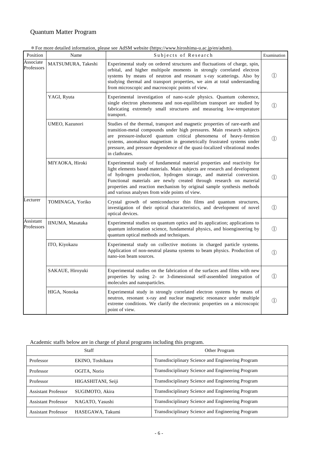#### Quantum Matter Program

\*For more detailed information, please see AdSM website (https://www.hiroshima-u.ac.jp/en/adsm).

| Position                | Name                                                                                                                                                                                   | Subjects of Research                                                                                                                                                                                                                                                                                                                                                                                                            | Examination       |  |
|-------------------------|----------------------------------------------------------------------------------------------------------------------------------------------------------------------------------------|---------------------------------------------------------------------------------------------------------------------------------------------------------------------------------------------------------------------------------------------------------------------------------------------------------------------------------------------------------------------------------------------------------------------------------|-------------------|--|
| Associate<br>Professors | MATSUMURA, Takeshi                                                                                                                                                                     | Experimental study on ordered structures and fluctuations of charge, spin,<br>orbital, and higher multipole moments in strongly correlated electron<br>systems by means of neutron and resonant x-ray scatterings. Also by<br>studying thermal and transport properties, we aim at total understanding<br>from microscopic and macroscopic points of view.                                                                      | $\bigcirc$        |  |
|                         | YAGI, Ryuta                                                                                                                                                                            | Experimental investigation of nano-scale physics. Quantum coherence,<br>single electron phenomena and non-equilibrium transport are studied by<br>fabricating extremely small structures and measuring low-temperature<br>transport.                                                                                                                                                                                            | $\left(1\right)$  |  |
|                         | UMEO, Kazunori                                                                                                                                                                         | Studies of the thermal, transport and magnetic properties of rare-earth and<br>transition-metal compounds under high pressures. Main research subjects<br>are pressure-induced quantum critical phenomena of heavy-fermion<br>systems, anomalous magnetism in geometrically frustrated systems under<br>pressure, and pressure dependence of the quasi-localized vibrational modes<br>in clathrates.                            | $\left(1\right)$  |  |
|                         | MIYAOKA, Hiroki                                                                                                                                                                        | Experimental study of fundamental material properties and reactivity for<br>light elements based materials. Main subjects are research and development<br>of hydrogen production, hydrogen storage, and material conversion.<br>Functional materials are newly created through research on material<br>properties and reaction mechanism by original sample synthesis methods<br>and various analyses from wide points of view. |                   |  |
| Lecturer                | TOMINAGA, Yoriko<br>Crystal growth of semiconductor thin films and quantum structures,<br>investigation of their optical characteristics, and development of novel<br>optical devices. |                                                                                                                                                                                                                                                                                                                                                                                                                                 | (1)               |  |
| Assistant<br>Professors | IINUMA, Masataka                                                                                                                                                                       | Experimental studies on quantum optics and its application; applications to<br>quantum information science, fundamental physics, and bioengineering by<br>quantum optical methods and techniques.                                                                                                                                                                                                                               |                   |  |
|                         | ITO, Kiyokazu                                                                                                                                                                          | Experimental study on collective motions in charged particle systems.<br>Application of non-neutral plasma systems to beam physics. Production of<br>nano-ion beam sources.                                                                                                                                                                                                                                                     |                   |  |
|                         | SAKAUE, Hiroyuki                                                                                                                                                                       | Experimental studies on the fabrication of the surfaces and films with new<br>properties by using 2- or 3-dimensional self-assembled integration of<br>molecules and nanoparticles.                                                                                                                                                                                                                                             | $\textcircled{1}$ |  |
|                         | HIGA, Nonoka                                                                                                                                                                           | Experimental study in strongly correlated electron systems by means of<br>neutron, resonant x-ray and nuclear magnetic resonance under multiple<br>extreme conditions. We clarify the electronic properties on a microscopic<br>point of view.                                                                                                                                                                                  | $\left(1\right)$  |  |

Academic staffs below are in charge of plural programs including this program.

| Staff                      |                    | Other Program                                     |  |
|----------------------------|--------------------|---------------------------------------------------|--|
| Professor                  | EKINO, Toshikazu   | Transdisciplinary Science and Engineering Program |  |
| Professor                  | OGITA, Norio       | Transdisciplinary Science and Engineering Program |  |
| Professor                  | HIGASHITANI, Seiji | Transdisciplinary Science and Engineering Program |  |
| <b>Assistant Professor</b> | SUGIMOTO, Akira    | Transdisciplinary Science and Engineering Program |  |
| <b>Assistant Professor</b> | NAGATO, Yasushi    | Transdisciplinary Science and Engineering Program |  |
| <b>Assistant Professor</b> | HASEGAWA, Takumi   | Transdisciplinary Science and Engineering Program |  |